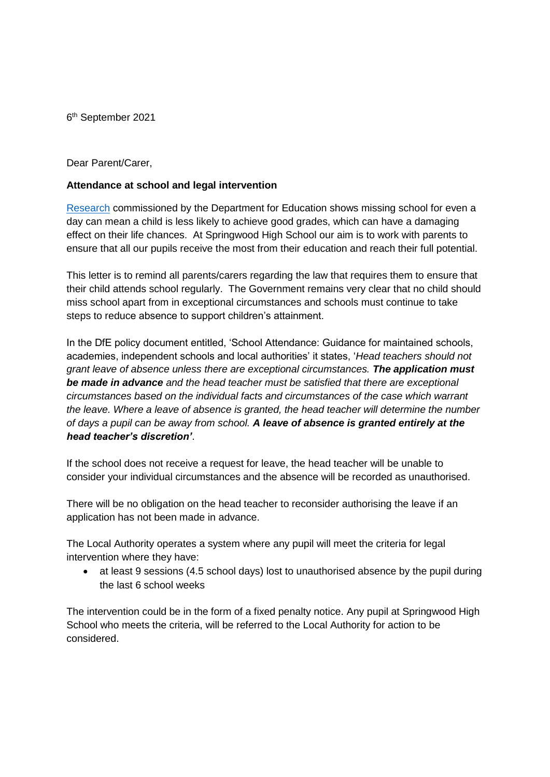6 th September 2021

Dear Parent/Carer,

## **Attendance at school and legal intervention**

[Research](https://www.gov.uk/government/publications/absence-and-attainment-at-key-stages-2-and-4-2013-to-2014) commissioned by the Department for Education shows missing school for even a day can mean a child is less likely to achieve good grades, which can have a damaging effect on their life chances. At Springwood High School our aim is to work with parents to ensure that all our pupils receive the most from their education and reach their full potential.

This letter is to remind all parents/carers regarding the law that requires them to ensure that their child attends school regularly. The Government remains very clear that no child should miss school apart from in exceptional circumstances and schools must continue to take steps to reduce absence to support children's attainment.

In the DfE policy document entitled, 'School Attendance: Guidance for maintained schools, academies, independent schools and local authorities' it states, '*Head teachers should not grant leave of absence unless there are exceptional circumstances. The application must be made in advance and the head teacher must be satisfied that there are exceptional circumstances based on the individual facts and circumstances of the case which warrant the leave. Where a leave of absence is granted, the head teacher will determine the number of days a pupil can be away from school. A leave of absence is granted entirely at the head teacher's discretion'*.

If the school does not receive a request for leave, the head teacher will be unable to consider your individual circumstances and the absence will be recorded as unauthorised.

There will be no obligation on the head teacher to reconsider authorising the leave if an application has not been made in advance.

The Local Authority operates a system where any pupil will meet the criteria for legal intervention where they have:

 at least 9 sessions (4.5 school days) lost to unauthorised absence by the pupil during the last 6 school weeks

The intervention could be in the form of a fixed penalty notice. Any pupil at Springwood High School who meets the criteria, will be referred to the Local Authority for action to be considered.